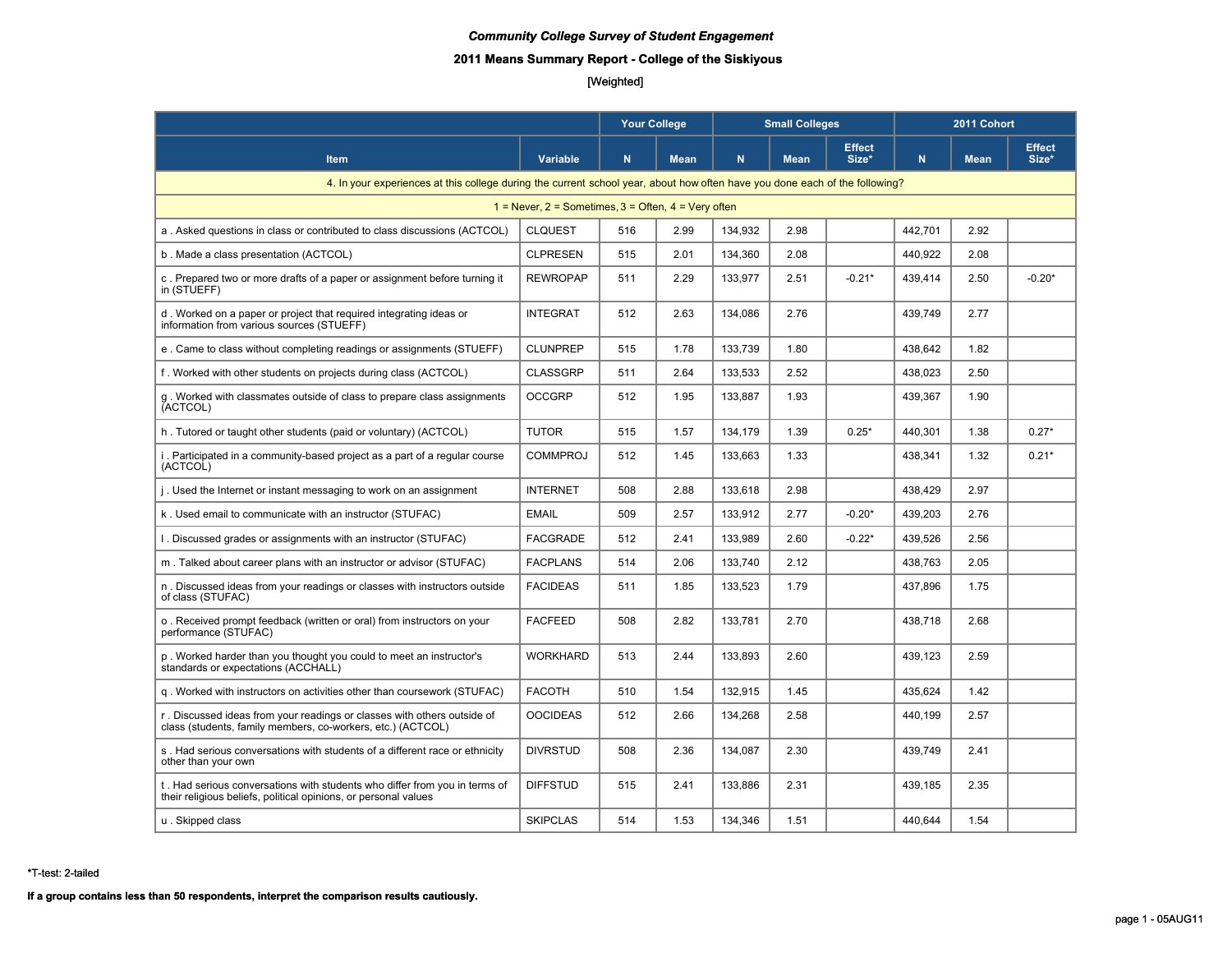# **2011 Means Summary Report - College of the Siskiyous**

# [Weighted]

|                                                                                                                                               |                 | <b>Your College</b> |             |         | <b>Small Colleges</b> |                        |         | 2011 Cohort |                        |  |
|-----------------------------------------------------------------------------------------------------------------------------------------------|-----------------|---------------------|-------------|---------|-----------------------|------------------------|---------|-------------|------------------------|--|
| <b>Item</b>                                                                                                                                   | <b>Variable</b> | N                   | <b>Mean</b> | N       | <b>Mean</b>           | <b>Effect</b><br>Size* | N       | <b>Mean</b> | <b>Effect</b><br>Size* |  |
| 4. In your experiences at this college during the current school year, about how often have you done each of the following?                   |                 |                     |             |         |                       |                        |         |             |                        |  |
| $1 =$ Never, $2 =$ Sometimes, $3 =$ Often, $4 =$ Very often                                                                                   |                 |                     |             |         |                       |                        |         |             |                        |  |
| a. Asked questions in class or contributed to class discussions (ACTCOL)                                                                      | <b>CLQUEST</b>  | 516                 | 2.99        | 134,932 | 2.98                  |                        | 442,701 | 2.92        |                        |  |
| b. Made a class presentation (ACTCOL)                                                                                                         | <b>CLPRESEN</b> | 515                 | 2.01        | 134,360 | 2.08                  |                        | 440,922 | 2.08        |                        |  |
| c. Prepared two or more drafts of a paper or assignment before turning it<br>in (STUEFF)                                                      | <b>REWROPAP</b> | 511                 | 2.29        | 133.977 | 2.51                  | $-0.21*$               | 439,414 | 2.50        | $-0.20*$               |  |
| d. Worked on a paper or project that required integrating ideas or<br>information from various sources (STUEFF)                               | <b>INTEGRAT</b> | 512                 | 2.63        | 134,086 | 2.76                  |                        | 439,749 | 2.77        |                        |  |
| e. Came to class without completing readings or assignments (STUEFF)                                                                          | <b>CLUNPREP</b> | 515                 | 1.78        | 133,739 | 1.80                  |                        | 438,642 | 1.82        |                        |  |
| f. Worked with other students on projects during class (ACTCOL)                                                                               | <b>CLASSGRP</b> | 511                 | 2.64        | 133,533 | 2.52                  |                        | 438,023 | 2.50        |                        |  |
| q. Worked with classmates outside of class to prepare class assignments<br>(ACTCOL)                                                           | <b>OCCGRP</b>   | 512                 | 1.95        | 133,887 | 1.93                  |                        | 439,367 | 1.90        |                        |  |
| h. Tutored or taught other students (paid or voluntary) (ACTCOL)                                                                              | <b>TUTOR</b>    | 515                 | 1.57        | 134,179 | 1.39                  | $0.25*$                | 440,301 | 1.38        | $0.27*$                |  |
| i. Participated in a community-based project as a part of a regular course<br>(ACTCOL)                                                        | <b>COMMPROJ</b> | 512                 | 1.45        | 133.663 | 1.33                  |                        | 438.341 | 1.32        | $0.21*$                |  |
| j. Used the Internet or instant messaging to work on an assignment                                                                            | <b>INTERNET</b> | 508                 | 2.88        | 133,618 | 2.98                  |                        | 438,429 | 2.97        |                        |  |
| k. Used email to communicate with an instructor (STUFAC)                                                                                      | <b>EMAIL</b>    | 509                 | 2.57        | 133,912 | 2.77                  | $-0.20*$               | 439,203 | 2.76        |                        |  |
| 1. Discussed grades or assignments with an instructor (STUFAC)                                                                                | <b>FACGRADE</b> | 512                 | 2.41        | 133,989 | 2.60                  | $-0.22*$               | 439,526 | 2.56        |                        |  |
| m. Talked about career plans with an instructor or advisor (STUFAC)                                                                           | <b>FACPLANS</b> | 514                 | 2.06        | 133,740 | 2.12                  |                        | 438,763 | 2.05        |                        |  |
| n. Discussed ideas from your readings or classes with instructors outside<br>of class (STUFAC)                                                | <b>FACIDEAS</b> | 511                 | 1.85        | 133,523 | 1.79                  |                        | 437,896 | 1.75        |                        |  |
| o. Received prompt feedback (written or oral) from instructors on your<br>performance (STUFAC)                                                | <b>FACFEED</b>  | 508                 | 2.82        | 133.781 | 2.70                  |                        | 438.718 | 2.68        |                        |  |
| p. Worked harder than you thought you could to meet an instructor's<br>standards or expectations (ACCHALL)                                    | <b>WORKHARD</b> | 513                 | 2.44        | 133.893 | 2.60                  |                        | 439.123 | 2.59        |                        |  |
| g. Worked with instructors on activities other than coursework (STUFAC)                                                                       | <b>FACOTH</b>   | 510                 | 1.54        | 132,915 | 1.45                  |                        | 435,624 | 1.42        |                        |  |
| r. Discussed ideas from your readings or classes with others outside of<br>class (students, family members, co-workers, etc.) (ACTCOL)        | <b>OOCIDEAS</b> | 512                 | 2.66        | 134,268 | 2.58                  |                        | 440,199 | 2.57        |                        |  |
| s. Had serious conversations with students of a different race or ethnicity<br>other than your own                                            | <b>DIVRSTUD</b> | 508                 | 2.36        | 134,087 | 2.30                  |                        | 439,749 | 2.41        |                        |  |
| t. Had serious conversations with students who differ from you in terms of<br>their religious beliefs, political opinions, or personal values | <b>DIFFSTUD</b> | 515                 | 2.41        | 133,886 | 2.31                  |                        | 439,185 | 2.35        |                        |  |
| u. Skipped class                                                                                                                              | <b>SKIPCLAS</b> | 514                 | 1.53        | 134.346 | 1.51                  |                        | 440.644 | 1.54        |                        |  |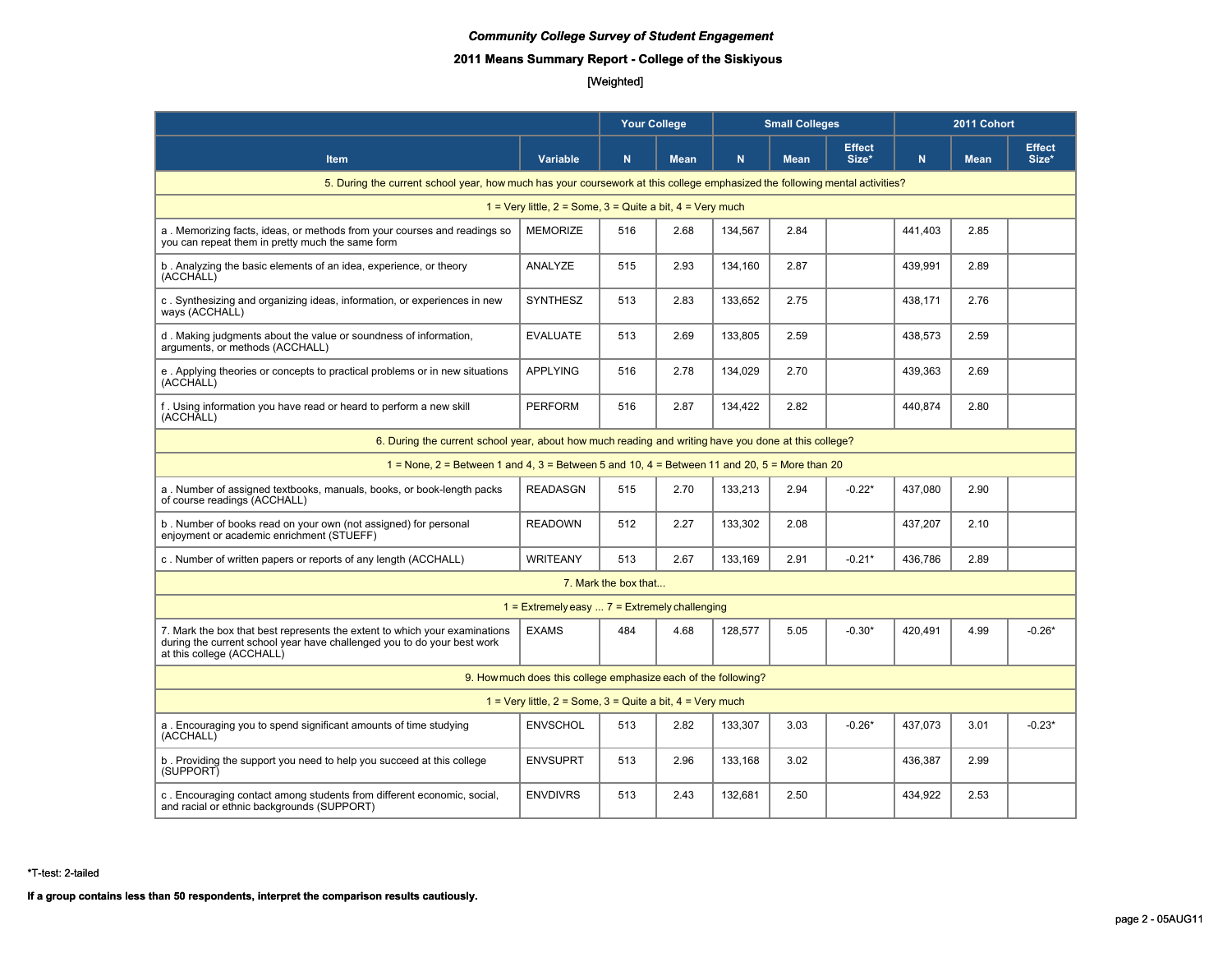# **2011 Means Summary Report - College of the Siskiyous**

# [Weighted]

|                                                                                                                                                                                    |                                                                |                      | <b>Your College</b><br><b>Small Colleges</b> |         |             | 2011 Cohort            |         |             |                        |
|------------------------------------------------------------------------------------------------------------------------------------------------------------------------------------|----------------------------------------------------------------|----------------------|----------------------------------------------|---------|-------------|------------------------|---------|-------------|------------------------|
| <b>Item</b>                                                                                                                                                                        | Variable                                                       | $\mathsf{N}$         | <b>Mean</b>                                  | N.      | <b>Mean</b> | <b>Effect</b><br>Size* | N       | <b>Mean</b> | <b>Effect</b><br>Size* |
| 5. During the current school year, how much has your coursework at this college emphasized the following mental activities?                                                        |                                                                |                      |                                              |         |             |                        |         |             |                        |
| 1 = Very little, $2 =$ Some, $3 =$ Quite a bit, $4 =$ Very much                                                                                                                    |                                                                |                      |                                              |         |             |                        |         |             |                        |
| a. Memorizing facts, ideas, or methods from your courses and readings so<br>you can repeat them in pretty much the same form                                                       | <b>MEMORIZE</b>                                                | 516                  | 2.68                                         | 134,567 | 2.84        |                        | 441,403 | 2.85        |                        |
| b. Analyzing the basic elements of an idea, experience, or theory<br>(ACCHALL)                                                                                                     | ANALYZE                                                        | 515                  | 2.93                                         | 134.160 | 2.87        |                        | 439.991 | 2.89        |                        |
| c. Synthesizing and organizing ideas, information, or experiences in new<br>ways (ACCHALL)                                                                                         | <b>SYNTHESZ</b>                                                | 513                  | 2.83                                         | 133,652 | 2.75        |                        | 438,171 | 2.76        |                        |
| d. Making judgments about the value or soundness of information,<br>arguments, or methods (ACCHALL)                                                                                | <b>EVALUATE</b>                                                | 513                  | 2.69                                         | 133,805 | 2.59        |                        | 438,573 | 2.59        |                        |
| e. Applying theories or concepts to practical problems or in new situations<br>(ACCHALL)                                                                                           | <b>APPLYING</b>                                                | 516                  | 2.78                                         | 134,029 | 2.70        |                        | 439,363 | 2.69        |                        |
| f. Using information you have read or heard to perform a new skill<br>(ACCHALL)                                                                                                    | <b>PERFORM</b>                                                 | 516                  | 2.87                                         | 134,422 | 2.82        |                        | 440,874 | 2.80        |                        |
| 6. During the current school year, about how much reading and writing have you done at this college?                                                                               |                                                                |                      |                                              |         |             |                        |         |             |                        |
| $1 =$ None, 2 = Between 1 and 4, 3 = Between 5 and 10, 4 = Between 11 and 20, 5 = More than 20                                                                                     |                                                                |                      |                                              |         |             |                        |         |             |                        |
| a. Number of assigned textbooks, manuals, books, or book-length packs<br>of course readings (ACCHALL)                                                                              | <b>READASGN</b>                                                | 515                  | 2.70                                         | 133,213 | 2.94        | $-0.22*$               | 437,080 | 2.90        |                        |
| b. Number of books read on your own (not assigned) for personal<br>enjoyment or academic enrichment (STUEFF)                                                                       | <b>READOWN</b>                                                 | 512                  | 2.27                                         | 133,302 | 2.08        |                        | 437,207 | 2.10        |                        |
| c. Number of written papers or reports of any length (ACCHALL)                                                                                                                     | <b>WRITEANY</b>                                                | 513                  | 2.67                                         | 133.169 | 2.91        | $-0.21*$               | 436.786 | 2.89        |                        |
|                                                                                                                                                                                    |                                                                | 7. Mark the box that |                                              |         |             |                        |         |             |                        |
|                                                                                                                                                                                    | $1 =$ Extremely easy $7 =$ Extremely challenging               |                      |                                              |         |             |                        |         |             |                        |
| 7. Mark the box that best represents the extent to which your examinations<br>during the current school year have challenged you to do your best work<br>at this college (ACCHALL) | <b>EXAMS</b>                                                   | 484                  | 4.68                                         | 128.577 | 5.05        | $-0.30*$               | 420.491 | 4.99        | $-0.26*$               |
|                                                                                                                                                                                    | 9. How much does this college emphasize each of the following? |                      |                                              |         |             |                        |         |             |                        |
| 1 = Very little, $2 =$ Some, $3 =$ Quite a bit, $4 =$ Very much                                                                                                                    |                                                                |                      |                                              |         |             |                        |         |             |                        |
| a. Encouraging you to spend significant amounts of time studying<br>(ACCHALL)                                                                                                      | <b>ENVSCHOL</b>                                                | 513                  | 2.82                                         | 133.307 | 3.03        | $-0.26*$               | 437.073 | 3.01        | $-0.23*$               |
| b. Providing the support you need to help you succeed at this college<br>(SUPPORT)                                                                                                 | <b>ENVSUPRT</b>                                                | 513                  | 2.96                                         | 133,168 | 3.02        |                        | 436,387 | 2.99        |                        |
| c. Encouraging contact among students from different economic, social,<br>and racial or ethnic backgrounds (SUPPORT)                                                               | <b>ENVDIVRS</b>                                                | 513                  | 2.43                                         | 132,681 | 2.50        |                        | 434,922 | 2.53        |                        |

\*T-test: 2-tailed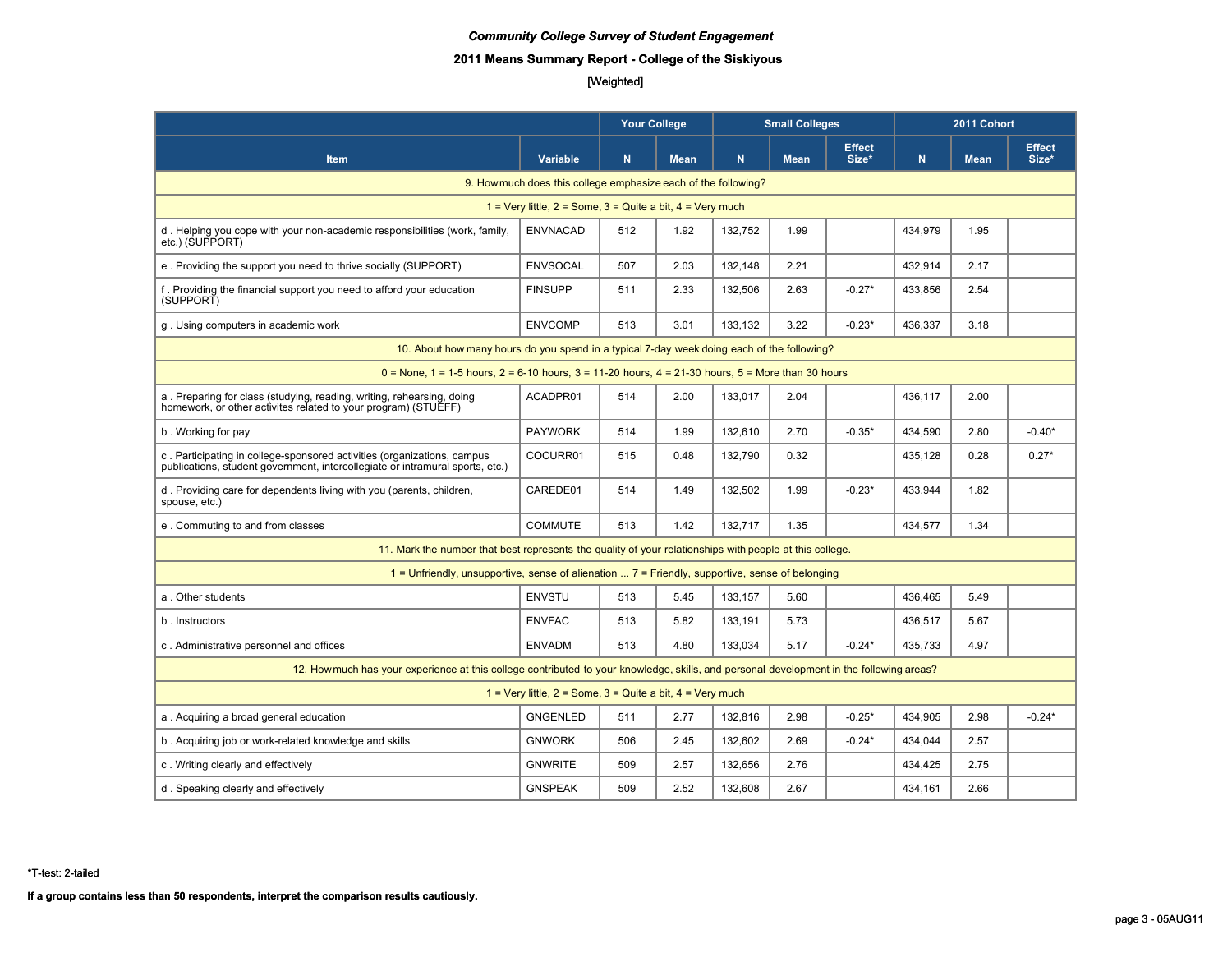# **2011 Means Summary Report - College of the Siskiyous**

# [Weighted]

|                                                                                                                                                          |                                                                 |             | <b>Your College</b><br><b>Small Colleges</b> |             |             | 2011 Cohort            |             |             |                        |  |
|----------------------------------------------------------------------------------------------------------------------------------------------------------|-----------------------------------------------------------------|-------------|----------------------------------------------|-------------|-------------|------------------------|-------------|-------------|------------------------|--|
| Item                                                                                                                                                     | Variable                                                        | $\mathbf N$ | <b>Mean</b>                                  | $\mathbf N$ | <b>Mean</b> | <b>Effect</b><br>Size* | $\mathbf N$ | <b>Mean</b> | <b>Effect</b><br>Size* |  |
| 9. How much does this college emphasize each of the following?                                                                                           |                                                                 |             |                                              |             |             |                        |             |             |                        |  |
| 1 = Very little, $2 =$ Some, $3 =$ Quite a bit, $4 =$ Very much                                                                                          |                                                                 |             |                                              |             |             |                        |             |             |                        |  |
| d. Helping you cope with your non-academic responsibilities (work, family,<br>etc.) (SUPPORT)                                                            | <b>ENVNACAD</b>                                                 | 512         | 1.92                                         | 132,752     | 1.99        |                        | 434,979     | 1.95        |                        |  |
| e. Providing the support you need to thrive socially (SUPPORT)                                                                                           | <b>ENVSOCAL</b>                                                 | 507         | 2.03                                         | 132.148     | 2.21        |                        | 432.914     | 2.17        |                        |  |
| f. Providing the financial support you need to afford your education<br>(SUPPORT)                                                                        | <b>FINSUPP</b>                                                  | 511         | 2.33                                         | 132,506     | 2.63        | $-0.27*$               | 433,856     | 2.54        |                        |  |
| q. Using computers in academic work                                                                                                                      | <b>ENVCOMP</b>                                                  | 513         | 3.01                                         | 133,132     | 3.22        | $-0.23*$               | 436,337     | 3.18        |                        |  |
| 10. About how many hours do you spend in a typical 7-day week doing each of the following?                                                               |                                                                 |             |                                              |             |             |                        |             |             |                        |  |
| $0 =$ None, 1 = 1-5 hours, 2 = 6-10 hours, 3 = 11-20 hours, 4 = 21-30 hours, 5 = More than 30 hours                                                      |                                                                 |             |                                              |             |             |                        |             |             |                        |  |
| a. Preparing for class (studying, reading, writing, rehearsing, doing<br>homework, or other activites related to your program) (STUEFF)                  | ACADPR01                                                        | 514         | 2.00                                         | 133.017     | 2.04        |                        | 436.117     | 2.00        |                        |  |
| b. Working for pay                                                                                                                                       | <b>PAYWORK</b>                                                  | 514         | 1.99                                         | 132.610     | 2.70        | $-0.35*$               | 434.590     | 2.80        | $-0.40*$               |  |
| c. Participating in college-sponsored activities (organizations, campus<br>publications, student government, intercollegiate or intramural sports, etc.) | COCURR01                                                        | 515         | 0.48                                         | 132.790     | 0.32        |                        | 435,128     | 0.28        | $0.27*$                |  |
| d. Providing care for dependents living with you (parents, children,<br>spouse, etc.)                                                                    | CAREDE01                                                        | 514         | 1.49                                         | 132,502     | 1.99        | $-0.23*$               | 433,944     | 1.82        |                        |  |
| e. Commuting to and from classes                                                                                                                         | <b>COMMUTE</b>                                                  | 513         | 1.42                                         | 132.717     | 1.35        |                        | 434.577     | 1.34        |                        |  |
| 11. Mark the number that best represents the quality of your relationships with people at this college.                                                  |                                                                 |             |                                              |             |             |                        |             |             |                        |  |
| $1$ = Unfriendly, unsupportive, sense of alienation $7$ = Friendly, supportive, sense of belonging                                                       |                                                                 |             |                                              |             |             |                        |             |             |                        |  |
| a. Other students                                                                                                                                        | <b>ENVSTU</b>                                                   | 513         | 5.45                                         | 133,157     | 5.60        |                        | 436,465     | 5.49        |                        |  |
| b. Instructors                                                                                                                                           | <b>ENVFAC</b>                                                   | 513         | 5.82                                         | 133.191     | 5.73        |                        | 436,517     | 5.67        |                        |  |
| c. Administrative personnel and offices                                                                                                                  | <b>ENVADM</b>                                                   | 513         | 4.80                                         | 133,034     | 5.17        | $-0.24*$               | 435.733     | 4.97        |                        |  |
| 12. How much has your experience at this college contributed to your knowledge, skills, and personal development in the following areas?                 |                                                                 |             |                                              |             |             |                        |             |             |                        |  |
|                                                                                                                                                          | 1 = Very little, $2 =$ Some, $3 =$ Quite a bit, $4 =$ Very much |             |                                              |             |             |                        |             |             |                        |  |
| a. Acquiring a broad general education                                                                                                                   | <b>GNGENLED</b>                                                 | 511         | 2.77                                         | 132,816     | 2.98        | $-0.25*$               | 434,905     | 2.98        | $-0.24*$               |  |
| b. Acquiring job or work-related knowledge and skills                                                                                                    | <b>GNWORK</b>                                                   | 506         | 2.45                                         | 132.602     | 2.69        | $-0.24*$               | 434.044     | 2.57        |                        |  |
| c. Writing clearly and effectively                                                                                                                       | <b>GNWRITE</b>                                                  | 509         | 2.57                                         | 132.656     | 2.76        |                        | 434.425     | 2.75        |                        |  |
| d. Speaking clearly and effectively                                                                                                                      | <b>GNSPEAK</b>                                                  | 509         | 2.52                                         | 132,608     | 2.67        |                        | 434.161     | 2.66        |                        |  |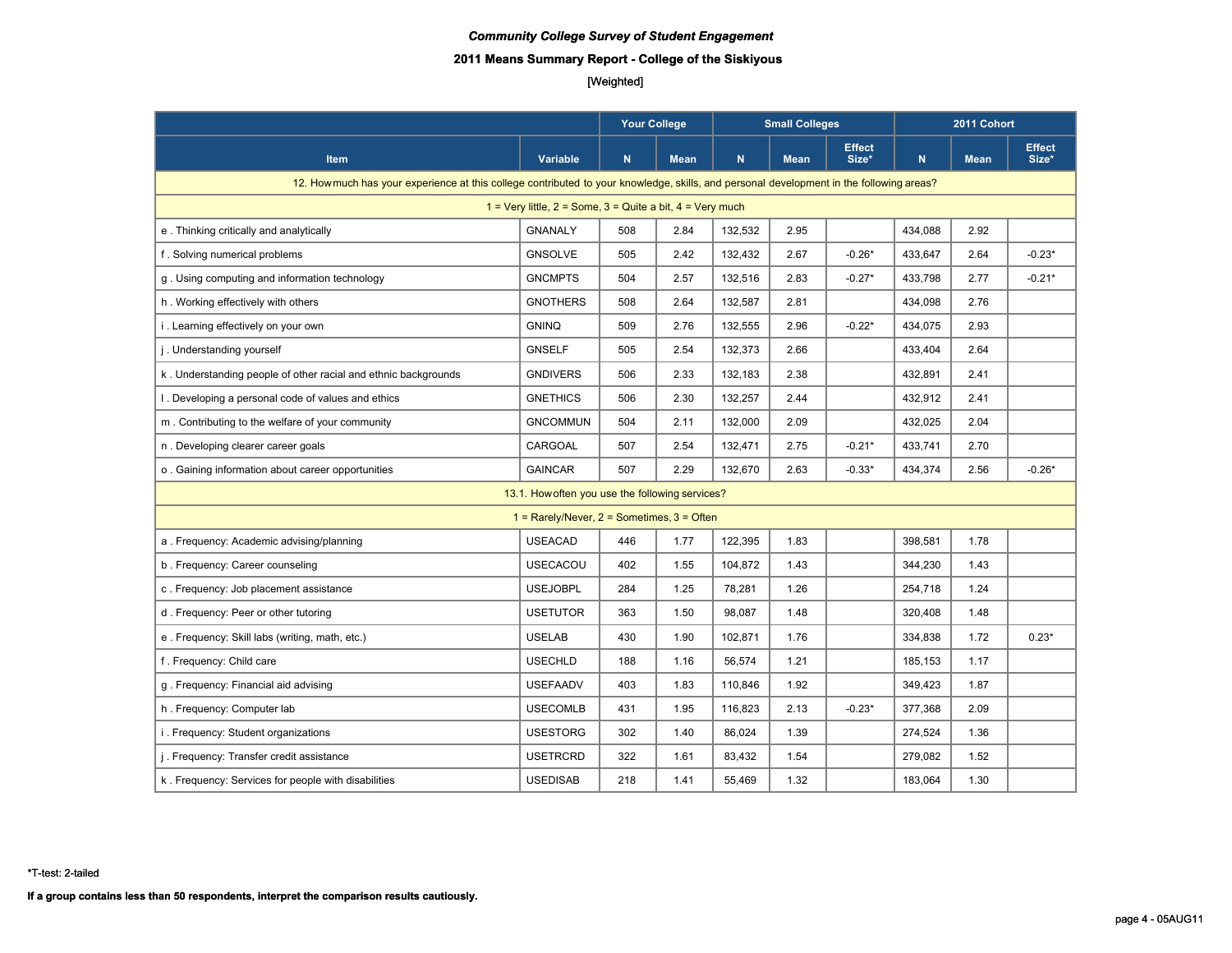# **2011 Means Summary Report - College of the Siskiyous**

# [Weighted]

|                                                                                                                                          |                                                  | Your College |             |         | <b>Small Colleges</b> |                        |         | 2011 Cohort |                        |
|------------------------------------------------------------------------------------------------------------------------------------------|--------------------------------------------------|--------------|-------------|---------|-----------------------|------------------------|---------|-------------|------------------------|
| <b>Item</b>                                                                                                                              | Variable                                         | $\mathsf{N}$ | <b>Mean</b> | N.      | <b>Mean</b>           | <b>Effect</b><br>Size* | N.      | <b>Mean</b> | <b>Effect</b><br>Size* |
| 12. How much has your experience at this college contributed to your knowledge, skills, and personal development in the following areas? |                                                  |              |             |         |                       |                        |         |             |                        |
| 1 = Very little, $2 =$ Some, $3 =$ Quite a bit, $4 =$ Very much                                                                          |                                                  |              |             |         |                       |                        |         |             |                        |
| e. Thinking critically and analytically                                                                                                  | <b>GNANALY</b>                                   | 508          | 2.84        | 132,532 | 2.95                  |                        | 434,088 | 2.92        |                        |
| f. Solving numerical problems                                                                                                            | <b>GNSOLVE</b>                                   | 505          | 2.42        | 132,432 | 2.67                  | $-0.26*$               | 433,647 | 2.64        | $-0.23*$               |
| g. Using computing and information technology                                                                                            | <b>GNCMPTS</b>                                   | 504          | 2.57        | 132,516 | 2.83                  | $-0.27*$               | 433,798 | 2.77        | $-0.21*$               |
| h. Working effectively with others                                                                                                       | <b>GNOTHERS</b>                                  | 508          | 2.64        | 132,587 | 2.81                  |                        | 434,098 | 2.76        |                        |
| i. Learning effectively on your own                                                                                                      | <b>GNINQ</b>                                     | 509          | 2.76        | 132,555 | 2.96                  | $-0.22*$               | 434,075 | 2.93        |                        |
| j. Understanding yourself                                                                                                                | <b>GNSELF</b>                                    | 505          | 2.54        | 132,373 | 2.66                  |                        | 433,404 | 2.64        |                        |
| k. Understanding people of other racial and ethnic backgrounds                                                                           | <b>GNDIVERS</b>                                  | 506          | 2.33        | 132,183 | 2.38                  |                        | 432,891 | 2.41        |                        |
| I. Developing a personal code of values and ethics                                                                                       | <b>GNETHICS</b>                                  | 506          | 2.30        | 132,257 | 2.44                  |                        | 432,912 | 2.41        |                        |
| m. Contributing to the welfare of your community                                                                                         | <b>GNCOMMUN</b>                                  | 504          | 2.11        | 132,000 | 2.09                  |                        | 432,025 | 2.04        |                        |
| n. Developing clearer career goals                                                                                                       | CARGOAL                                          | 507          | 2.54        | 132,471 | 2.75                  | $-0.21*$               | 433,741 | 2.70        |                        |
| o. Gaining information about career opportunities                                                                                        | <b>GAINCAR</b>                                   | 507          | 2.29        | 132.670 | 2.63                  | $-0.33*$               | 434.374 | 2.56        | $-0.26*$               |
|                                                                                                                                          | 13.1. How often you use the following services?  |              |             |         |                       |                        |         |             |                        |
|                                                                                                                                          | $1 =$ Rarely/Never, $2 =$ Sometimes, $3 =$ Often |              |             |         |                       |                        |         |             |                        |
| a. Frequency: Academic advising/planning                                                                                                 | <b>USEACAD</b>                                   | 446          | 1.77        | 122,395 | 1.83                  |                        | 398,581 | 1.78        |                        |
| b. Frequency: Career counseling                                                                                                          | <b>USECACOU</b>                                  | 402          | 1.55        | 104,872 | 1.43                  |                        | 344,230 | 1.43        |                        |
| c. Frequency: Job placement assistance                                                                                                   | <b>USEJOBPL</b>                                  | 284          | 1.25        | 78,281  | 1.26                  |                        | 254,718 | 1.24        |                        |
| d. Frequency: Peer or other tutoring                                                                                                     | <b>USETUTOR</b>                                  | 363          | 1.50        | 98,087  | 1.48                  |                        | 320,408 | 1.48        |                        |
| e. Frequency: Skill labs (writing, math, etc.)                                                                                           | <b>USELAB</b>                                    | 430          | 1.90        | 102.871 | 1.76                  |                        | 334,838 | 1.72        | $0.23*$                |
| f. Frequency: Child care                                                                                                                 | <b>USECHLD</b>                                   | 188          | 1.16        | 56,574  | 1.21                  |                        | 185,153 | 1.17        |                        |
| g. Frequency: Financial aid advising                                                                                                     | <b>USEFAADV</b>                                  | 403          | 1.83        | 110,846 | 1.92                  |                        | 349,423 | 1.87        |                        |
| h. Frequency: Computer lab                                                                                                               | <b>USECOMLB</b>                                  | 431          | 1.95        | 116,823 | 2.13                  | $-0.23*$               | 377,368 | 2.09        |                        |
| i. Frequency: Student organizations                                                                                                      | <b>USESTORG</b>                                  | 302          | 1.40        | 86,024  | 1.39                  |                        | 274,524 | 1.36        |                        |
| j. Frequency: Transfer credit assistance                                                                                                 | <b>USETRCRD</b>                                  | 322          | 1.61        | 83,432  | 1.54                  |                        | 279,082 | 1.52        |                        |
| k. Frequency: Services for people with disabilities                                                                                      | <b>USEDISAB</b>                                  | 218          | 1.41        | 55,469  | 1.32                  |                        | 183,064 | 1.30        |                        |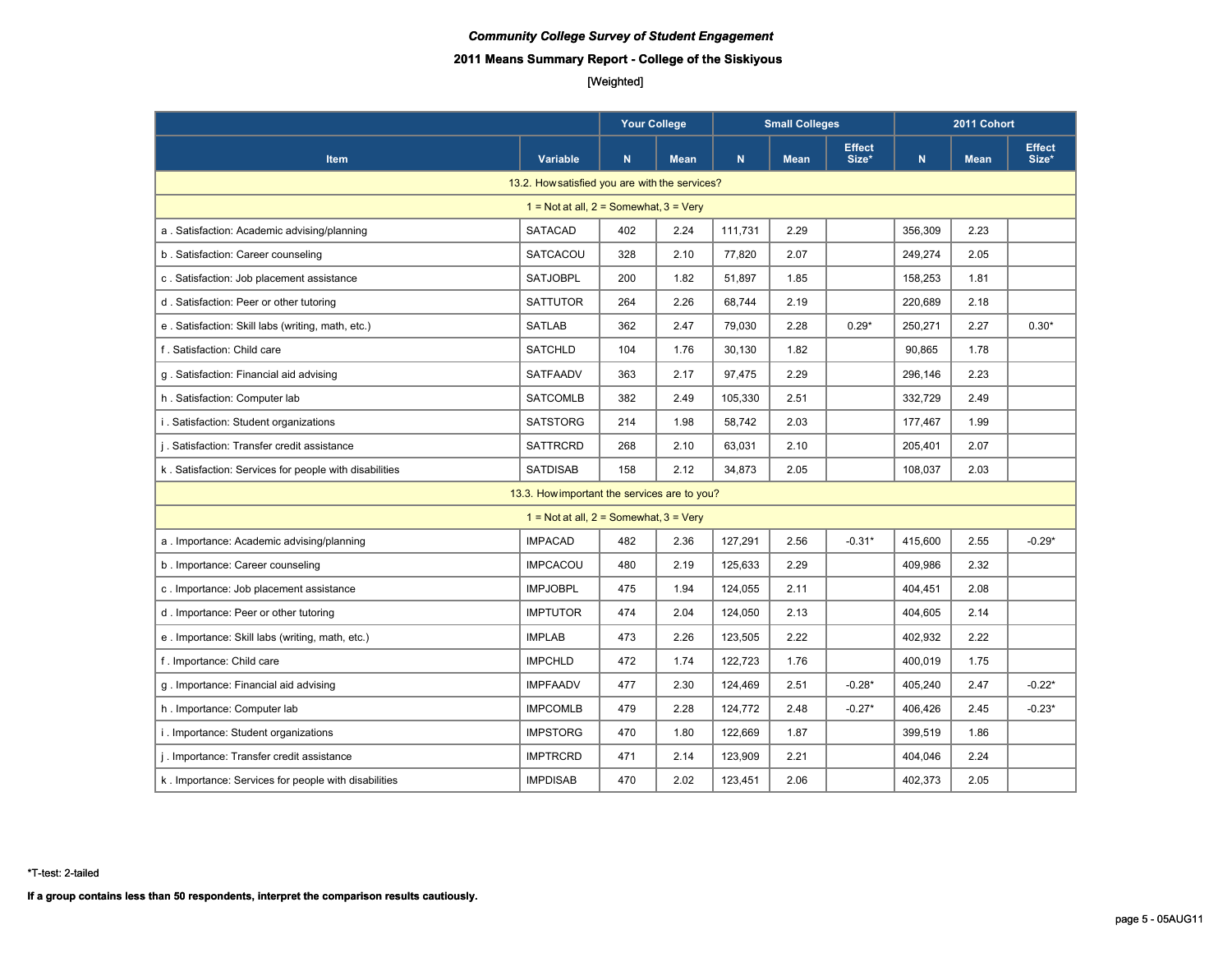# **2011 Means Summary Report - College of the Siskiyous**

# [Weighted]

|                                                        |                                              | <b>Your College</b><br><b>Small Colleges</b> |             | 2011 Cohort |             |                        |             |             |                        |
|--------------------------------------------------------|----------------------------------------------|----------------------------------------------|-------------|-------------|-------------|------------------------|-------------|-------------|------------------------|
| <b>Item</b>                                            | <b>Variable</b>                              | N                                            | <b>Mean</b> | ${\bf N}$   | <b>Mean</b> | <b>Effect</b><br>Size* | $\mathbf N$ | <b>Mean</b> | <b>Effect</b><br>Size* |
| 13.2. How satisfied you are with the services?         |                                              |                                              |             |             |             |                        |             |             |                        |
|                                                        | $1 = Not at all, 2 = Somewhat, 3 = Very$     |                                              |             |             |             |                        |             |             |                        |
| a. Satisfaction: Academic advising/planning            | SATACAD                                      | 402                                          | 2.24        | 111,731     | 2.29        |                        | 356,309     | 2.23        |                        |
| b. Satisfaction: Career counseling                     | SATCACOU                                     | 328                                          | 2.10        | 77,820      | 2.07        |                        | 249,274     | 2.05        |                        |
| c. Satisfaction: Job placement assistance              | <b>SATJOBPL</b>                              | 200                                          | 1.82        | 51,897      | 1.85        |                        | 158,253     | 1.81        |                        |
| d. Satisfaction: Peer or other tutoring                | <b>SATTUTOR</b>                              | 264                                          | 2.26        | 68,744      | 2.19        |                        | 220,689     | 2.18        |                        |
| e. Satisfaction: Skill labs (writing, math, etc.)      | <b>SATLAB</b>                                | 362                                          | 2.47        | 79,030      | 2.28        | $0.29*$                | 250,271     | 2.27        | $0.30*$                |
| f. Satisfaction: Child care                            | <b>SATCHLD</b>                               | 104                                          | 1.76        | 30,130      | 1.82        |                        | 90,865      | 1.78        |                        |
| g. Satisfaction: Financial aid advising                | <b>SATFAADV</b>                              | 363                                          | 2.17        | 97,475      | 2.29        |                        | 296,146     | 2.23        |                        |
| h. Satisfaction: Computer lab                          | <b>SATCOMLB</b>                              | 382                                          | 2.49        | 105,330     | 2.51        |                        | 332,729     | 2.49        |                        |
| i. Satisfaction: Student organizations                 | <b>SATSTORG</b>                              | 214                                          | 1.98        | 58,742      | 2.03        |                        | 177,467     | 1.99        |                        |
| j. Satisfaction: Transfer credit assistance            | <b>SATTRCRD</b>                              | 268                                          | 2.10        | 63,031      | 2.10        |                        | 205,401     | 2.07        |                        |
| k. Satisfaction: Services for people with disabilities | <b>SATDISAB</b>                              | 158                                          | 2.12        | 34,873      | 2.05        |                        | 108,037     | 2.03        |                        |
|                                                        | 13.3. How important the services are to you? |                                              |             |             |             |                        |             |             |                        |
|                                                        | $1 = Not at all, 2 = Somewhat, 3 = Very$     |                                              |             |             |             |                        |             |             |                        |
| a. Importance: Academic advising/planning              | <b>IMPACAD</b>                               | 482                                          | 2.36        | 127,291     | 2.56        | $-0.31*$               | 415,600     | 2.55        | $-0.29*$               |
| b. Importance: Career counseling                       | <b>IMPCACOU</b>                              | 480                                          | 2.19        | 125,633     | 2.29        |                        | 409,986     | 2.32        |                        |
| c. Importance: Job placement assistance                | <b>IMPJOBPL</b>                              | 475                                          | 1.94        | 124,055     | 2.11        |                        | 404,451     | 2.08        |                        |
| d. Importance: Peer or other tutoring                  | <b>IMPTUTOR</b>                              | 474                                          | 2.04        | 124,050     | 2.13        |                        | 404,605     | 2.14        |                        |
| e. Importance: Skill labs (writing, math, etc.)        | <b>IMPLAB</b>                                | 473                                          | 2.26        | 123,505     | 2.22        |                        | 402,932     | 2.22        |                        |
| f. Importance: Child care                              | <b>IMPCHLD</b>                               | 472                                          | 1.74        | 122,723     | 1.76        |                        | 400,019     | 1.75        |                        |
| g. Importance: Financial aid advising                  | <b>IMPFAADV</b>                              | 477                                          | 2.30        | 124,469     | 2.51        | $-0.28*$               | 405,240     | 2.47        | $-0.22*$               |
| h. Importance: Computer lab                            | <b>IMPCOMLB</b>                              | 479                                          | 2.28        | 124,772     | 2.48        | $-0.27*$               | 406,426     | 2.45        | $-0.23*$               |
| i. Importance: Student organizations                   | <b>IMPSTORG</b>                              | 470                                          | 1.80        | 122,669     | 1.87        |                        | 399,519     | 1.86        |                        |
| j. Importance: Transfer credit assistance              | <b>IMPTRCRD</b>                              | 471                                          | 2.14        | 123,909     | 2.21        |                        | 404,046     | 2.24        |                        |
| k. Importance: Services for people with disabilities   | <b>IMPDISAB</b>                              | 470                                          | 2.02        | 123,451     | 2.06        |                        | 402,373     | 2.05        |                        |